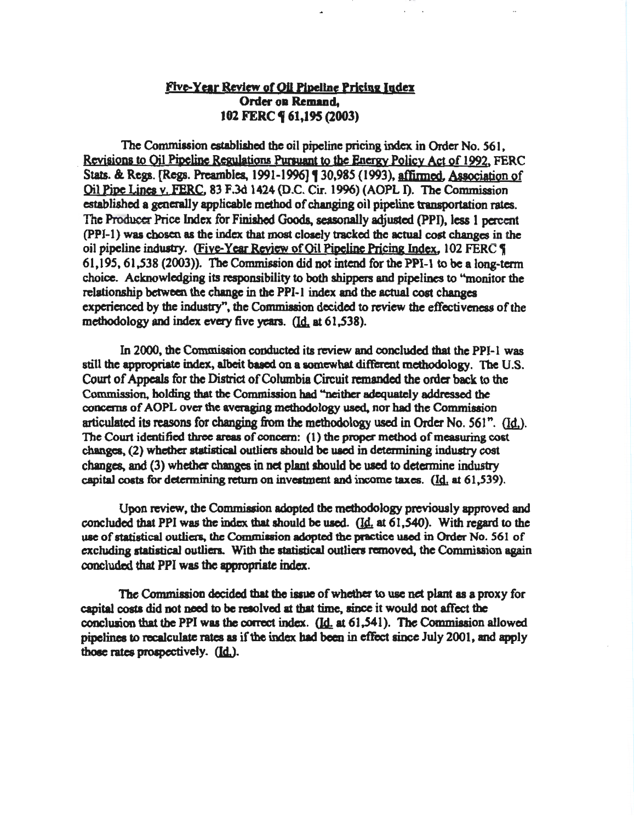# Five-Year Review of Oil Pipeline Pricing Index Order oa Remaad, 102 FERC **9** 61,195 (2003)

The Commission established the oil pipeline pricing index in Order No. 561, Revisions to Oil Pipeline Regulations Pursuant to the Energy Policy Act of 1992. FERC Stats. & Regs. [Regs. Preambles, 1991-1996] [ 30,985 (1993), affirmed. Association of Oil Pine Lines y. FEBC. 83 F.3d 1424 (D.C. Cir. 1996) (AOPL 1). The Commission established a generally applicable method of changing oil pipeline transportation rates. The Producer Price Index for Finished Goods, seasonally adjusted (PPI), less 1 percent (PPI-1) was chosen as the index that most closely tracked the actual cost changes in the oil pipeline industry. (Five-Year Review of Oil Pipeline Pricing Index, 102 FERC  $\eta$  $61,195, 61,538$  (2003)). The Commission did not intend for the PPI-1 to be a long-term choice. Acknowledging its responsibility to both shippers and pipelines to "monitor the relationship between the change in the PPI-1 index and the actual cost changes experienced by the industry", the Commission decided to review the effectiveness of the methodology and index every five years.  $(Id, at 61, 538)$ .

In 2000, the Commission conducted ita review and concluded that the PPI-1 was still the appropriate index, albeit based on a somewhat different methodology. The U.S. Court of Appeals for the District of Colwnbia Circuit remanded the order back to the Commission, holding that the Commission bad "neither adequately addressed the concerns of AOPL over the averaging methodology used, nor had the Commission articulated its reasons for changing from the methodology used in Order No.  $561$ ". (Id.). The Court identified three areas of concern: ( 1) the proper method of measuring cost changes. (2) whether statistical outliers should be uacd in determining industry cost changes, and (3) whether changes in net plant should be used to determine industry capital costs for determining return on investment and income taxes.  $(Id. 41, 539)$ .

Upon review, the Commission adopted the methodology previously approved and concluded that PPI was the index that should be used. (Id. at  $61,540$ ). With regard to the use of statistical outliers, the Commission adopted the practice used in Order No. 561 of excluding statistical outliers. With the statistical outliers removed, the Commission again concluded that PPI was the appropriate index.

The Commission decided that the issue of whether to use net plant as a proxy for capital costa did not need to be resolved at that time. since it would not affect the conclusion that the PPI was the correct index.  $(\underline{Id}$  at 61,541). The Commission allowed pipelines to recalculate rates as if the index had been in effect since July 2001, and apply those rates prospectively. (Id.).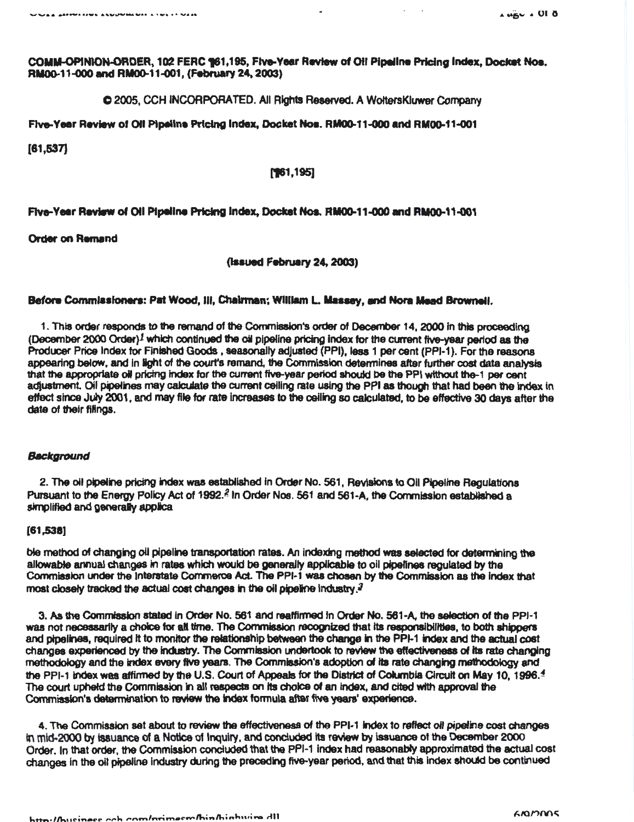$\mathcal{L}^{\text{max}}$  .

COMM-OPINION-ORDER, 102 FERC 161,195, Five-Year Review of Oil Pipeline Pricing Index, Docket Nos. RM00-11-000 and RM00-11-001, (February 24, 2003)

© 2005, CCH INCORPORATED. All Rights Reserved. A WoltersKluwer Company

Five-Year Review of Oil Pipeline Pricing Index, Docket Nos. RM00-11-000 and RM00-11-001

 $[61,537]$ 

## $[761, 195]$

Five-Year Review of Oil Pipeline Pricing Index, Docket Nos. RM00-11-000 and RM00-11-001

**Order on Remand** 

(Issued February 24, 2003)

## Before Commissioners: Pat Wood, III, Chairman; William L. Massey, and Nora Mead Brownell.

1. This order responds to the remand of the Commission's order of December 14, 2000 in this proceeding (December 2000 Order)<sup>1</sup> which continued the oil pipeline pricing index for the current five-year period as the Producer Price Index for Finished Goods, seasonally adjusted (PPI), less 1 per cent (PPI-1). For the reasons appearing below, and in light of the court's remand, the Commission determines after further cost data analysis that the appropriate oil pricing index for the current five-year period should be the PPI without the-1 per cent adjustment. Oil pipelines may calculate the current ceiling rate using the PPI as though that had been the index in effect since July 2001, and may file for rate increases to the celling so calculated, to be effective 30 days after the date of their filings.

#### Background

2. The oil pipeline pricing index was established in Order No. 561, Revisions to Oil Pipeline Regulations Pursuant to the Energy Policy Act of 1992.<sup>2</sup> In Order Nos. 561 and 561-A, the Commission established a simplified and generally applica

### $[61,538]$

ble method of changing oil pipeline transportation rates. An indexing method was selected for determining the allowable annual changes in rates which would be generally applicable to oil pipelines regulated by the Commission under the Interstate Commerce Act. The PPI-1 was chosen by the Commission as the index that most closely tracked the actual cost changes in the oil pipeline industry.<sup>3</sup>

3. As the Commission stated in Order No. 561 and reaffirmed in Order No. 561-A, the selection of the PPI-1 was not necessarily a choice for all time. The Commission recognized that its responsibilities, to both shippers and pipelines, required it to monitor the relationship between the change in the PPI-1 index and the actual cost changes experienced by the industry. The Commission undertook to review the effectiveness of its rate changing methodology and the index every five years. The Commission's adoption of its rate changing methodology and the PPI-1 index was affirmed by the U.S. Court of Appeals for the District of Columbia Circuit on May 10, 1996.<sup>4</sup> The court upheld the Commission in all respects on its choice of an index, and cited with approval the Commission's determination to review the index formula after five years' experience.

4. The Commission set about to review the effectiveness of the PPI-1 index to reflect oil pipeline cost changes in mid-2000) by issuance of a Notice of Inquiry, and conducted its review by issuance of the December 2000 Order, In that order, the Commission concluded that the PPI-1 index had reasonably approximated the actual cost changes in the oil pipeline industry during the preceding five-year period, and that this index should be continued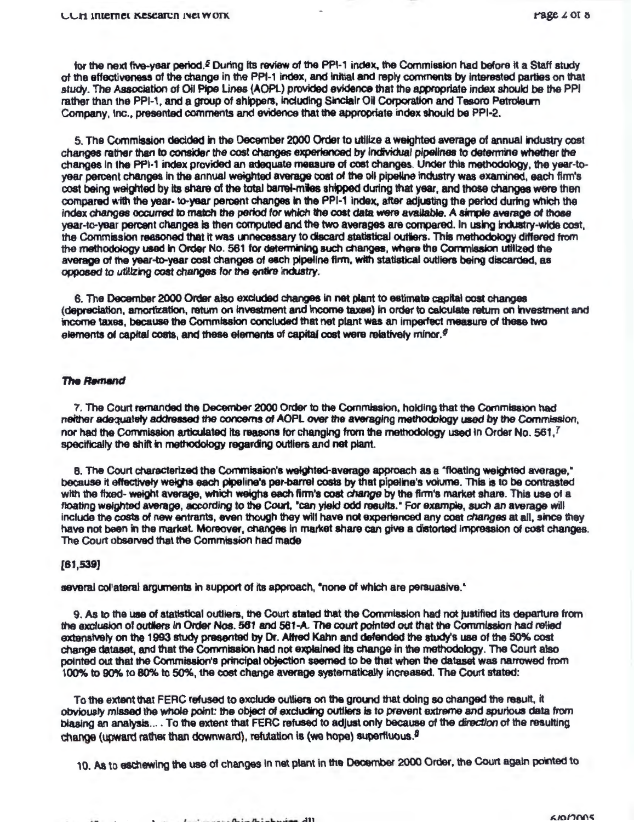for the next five-year period.<sup>5</sup> During its review of the PPI-1 index, the Commission had before it a Staff study of the effectiveness of the change in the PPI-1 index, and initial and reply comments by interested parties on that study. The Association of Oil Pipe Lines (AOPL) provided evidence that the appropriate index should be the PPI rather than the PPI-1, and a group of shippers, including Sinclair Oil Corporation and Tesoro Petroleum Company, Inc., presented comments and evidence that the appropriate index should be PPI-2.

5. The Commission decided in the December 2000 Order to utilize a weighted average of annual industry cost changes rather than to consider the cost changes experienced by individual pipelines to determine whether the changes in the PPI-1 index provided an adequate measure of cost changes. Under this methodology, the year-toyear percent changes in the annual weighted average cost of the oil pipeline industry was examined, each firm's cost being weighted by its share of the total barrei-miles shipped during that year, and those changes were then compared with the year-to-year percent changes in the PPI-1 index, after adjusting the period during which the index changes occurred to match the period for which the cost data were available. A simple average of those year-to-year percent changes is then computed and the two averages are compared. In using industry-wide cost, the Commission reasoned that it was unnecessary to discard statistical outliers. This methodology differed from the methodology used in Order No. 561 for determining such changes, where the Commission utilized the average of the year-to-year cost changes of each pipeline firm, with statistical outliers being discarded, as opposed to utilizing cost changes for the entire industry.

6. The December 2000 Order also excluded changes in net plant to estimate capital cost changes (depreciation, amortization, return on investment and income taxes) in order to calculate return on investment and income taxes, because the Commission concluded that net plant was an imperfect measure of these two elements of capital costs, and these elements of capital cost were relatively minor.<sup>6</sup>

#### **The Remand**

7. The Court remanded the December 2000 Order to the Commission, holding that the Commission had neither adequately addressed the concerns of AOPL over the averaging methodology used by the Commission. nor had the Commission articulated its reasons for changing from the methodology used in Order No. 561.<sup>7</sup> specifically the shift in methodology regarding outliers and net plant.

8. The Court characterized the Commission's weighted-average approach as a "floating weighted average," because it effectively weighs each pipeline's per-barrel costs by that pipeline's volume. This is to be contrasted with the fixed-weight average, which weighs each firm's cost change by the firm's market share. This use of a floating weighted average, according to the Court, "can yield odd results." For example, such an average will include the costs of new entrants, even though they will have not experienced any cost changes at all, since they have not been in the market. Moreover, changes in market share can give a distorted impression of cost changes. The Court observed that the Commission had made

# $[61, 539]$

several collateral arguments in support of its approach, "none of which are persuasive."

9. As to the use of statistical outliers, the Court stated that the Commission had not justified its departure from the exclusion of outliers in Order Nos. 561 and 561-A. The court pointed out that the Commission had relied extensively on the 1993 study presented by Dr. Alfred Kahn and defended the study's use of the 50% cost change dataset, and that the Commission had not explained its change in the methodology. The Court also pointed out that the Commission's principal objection seemed to be that when the dataset was narrowed from 100% to 90% to 80% to 50%, the cost change average systematically increased. The Court stated:

To the extent that FERC refused to exclude outliers on the ground that doing so changed the result, it obviously missed the whole point: the object of excluding outliers is to prevent extreme and spurious data from biasing an analysis... . To the extent that FERC refused to adjust only because of the direction of the resulting change (upward rather than downward), refutation is (we hope) superfluous.<sup>8</sup>

10. As to eschewing the use of changes in net plant in the December 2000 Order, the Court again pointed to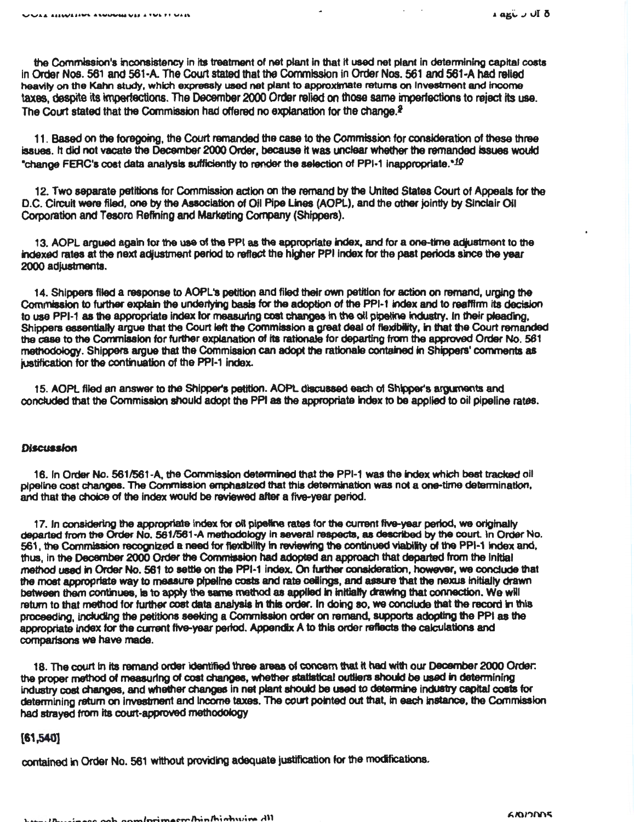the Commission's inconsistency in its treatment of net plant in that it used net plant in determining capital costs in Order Nos. 561 and 561-A. The Court stated that the Commission in Order Nos. 561 and 561-A had relied heavily on the Kahn study, which expressly used net plant to approximate returns on Investment and income taxes, despite its imperfections. The December 2000 Order relied on those same imperfections to reject Its usa. The Court stated that the Commission had offered no explanation for the change. $f$ 

11. Based on the foregoing, the Court remanded the case to the Commission for conaideration of these three issues. It did not vacate the December 2000 Order, because it was unclear whether the remanded issues would \*change FERC's cost data analysis sufficiently to render the selection of PPI-1 inappropriate.\*10

12. Two separate petitions for Commission action on the remand by the United States Court of Appeals for the D.C. Circuit were filed, one by the Association of Oil Pipe Lines (AOPL), and the other jointly by Sinclair Oil Corporation and Tesoro Refining and Marketing Corpoany (Shippers).

13. AOPL argued again for the use of the PPI as the appropriate index, and for a one-time adjustment to the indexed rates at the next adjustment period to reflect the higher PPI index for the past periods since the year 2000 adjustments.

14. Shippers filed a response to AOPL'a petition and filed their own petition for action on remand, urging the Commission to further explain the underlying basis for the adoption of the PPI-1 index and to reaffirm its decision to use PPI-1 as the appropriate index for measuring cost changes in the oil pipeline industry. In their pleading, Shippers essentially argue that the Court left the Commission a great deal of flexibility, in that the Court remanded the case to the Commlsalon for further explanation of Its rationale for departing from the approved Order No. 561 methodology. Shippers argue that the Commission can adopt the rationale contained in Shippers' comments as justification for the continuation of the PPI-1 index.

15. AOPL filed an answer to the Shipper's petition. AOPL discussed each of Shipper's argunents and concluded that the Commission should adopt the PPI as the appropriate index to be applied to oil pipeline rates.

#### **Discussion**

16. In Order No. 5611561-A. the Commission determined that the PPI-1 was the index which beat tracked oil pipeline coat changes. The Commission emphasized that this determination was not a one-time determination, and that the choice of the index would be reviewed after a five-year period.

17. In considering the appropriate index for oil pipeline rates for the current five-year period, we originally departed from the Order No. 561/561-A methodology in several respects, as described by the court. In Order No. 561, the Commission recognized a need for flexibility in reviewing the continued viability of the PPI-1 index and, thus, in the December 2000 Order the Commission had adopted an approach that departed from the Initial method used In Order No. 561 to setlte on the PPI·1 Index. On Uther conaideration, howewr, we conclude that the most appropriate way to measure pipeline costs and rate ceilings, and assure that the nexus initially drawn between them continues, is to apply the same method as applied in initially drawing that connection. We will return to that method for further cost data analysis in this order. In doing so, we conclude that the record in this proceeding, inCluding the petitions seeking a Commlsaion order on remand, supports adopting 1he PPI as the appropriate index for the current five-year period. Appendix A to this order reflects the calculations and comparisons we have made.

18. The court In Its remand order identified ttvae areaa of concem that It had with our December 2000 Order: the proper method of measuring of cost changes, whether statistical outliers should be used in determining industry cost changes, and whether changes in net plant should be used to determine industry capital costs for determining return on investment and income taxes. The court pointed out that, in each instance, the Commission had strayed from its court-approved methodology

# {61,540]

contained in Order No. 561 without providing adequate justification for the modifications.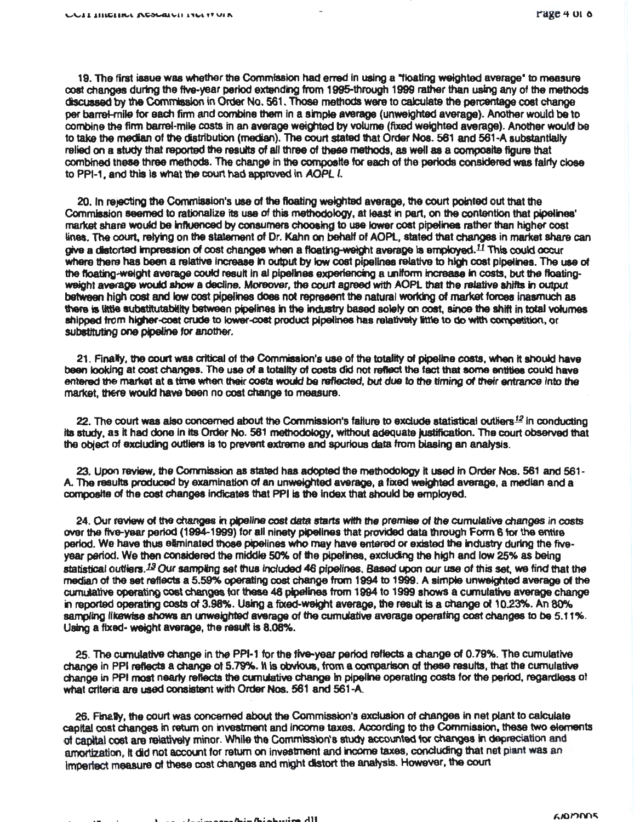19. The first issue was whether the Commission had erred in using a "floating weighted average" to measure cost changes during the five-year period extending from 1995-through 1999 rather than using any of the methods discussed by the Commission in Order No. 561, Those methods were to calculate the percentage cost change per barrel-mile for each firm and combine them in a simple average (unweighted average). Another would be to combine the firm barrel-mile costs in an average weighted by volume (fixed weighted average). Another would be to take the median of the distribution (median). The court stated that Order Nos. 561 and 561-A substantially relied on a study that reported the results of all three of these methods, as well as a composite figure that combined these three methods. The change in the composite for each of the periods considered was fairly close to PPI-1, and this is what the court had approved in AOPL I.

20. In rejecting the Commission's use of the floating weighted average, the court pointed out that the Commission seemed to rationalize its use of this methodology, at least in part, on the contention that pipelines' market share would be influenced by consumers choosing to use lower cost pipelines rather than higher cost lines. The court, relying on the statement of Dr. Kahn on behalf of AOPL, stated that changes in market share can give a distorted impression of cost changes when a floating-weight average is employed.<sup>11</sup> This could occur where there has been a relative increase in output by low cost pipelines relative to high cost pipelines. The use of the floating-weight average could result in al pipelines experiencing a uniform increase in costs, but the floatingweight average would show a decline. Moreover, the court agreed with AOPL that the relative shifts in output between high cost and low cost pipelines does not represent the natural working of market forces inasmuch as there is little substitutability between pipelines in the industry based solely on cost, since the shift in total volumes shipped from higher-cost crude to lower-cost product pipelines has relatively little to do with competition, or substituting one pipeline for another.

21. Finally, the court was critical of the Commission's use of the totality of pipeline costs, when it should have been looking at cost changes. The use of a totality of costs did not reflect the fact that some entities could have entered the market at a time when their costs would be reflected, but due to the timing of their entrance into the market, there would have been no cost change to measure.

22. The court was also concerned about the Commission's failure to exclude statistical outliers<sup>12</sup> in conducting its study, as it had done in its Order No. 561 methodology, without adequate justification. The court observed that the object of excluding outliers is to prevent extreme and sourious data from biasing an analysis.

23. Upon review, the Commission as stated has adopted the methodology it used in Order Nos. 561 and 561-A. The results produced by examination of an unweighted average, a fixed weighted average, a median and a composite of the cost changes indicates that PPI is the index that should be employed.

24. Our review of the changes in pipeline cost data starts with the premise of the cumulative changes in costs over the five-year period (1994-1999) for all ninety pipelines that provided data through Form 6 for the entire period. We have thus eliminated those pipelines who may have entered or existed the industry during the fivevear period. We then considered the middle 50% of the pipelines, excluding the high and low 25% as being statistical outliers.<sup>12</sup> Our sampling set thus included 46 pipelines, Based upon our use of this set, we find that the median of the set reflects a 5,59% operating cost change from 1994 to 1999. A simple unweighted average of the curridative operating cost changes for these 46 pipelines from 1994 to 1999 shows a curriulative average change in reported operating costs of 3.98%. Using a fixed-weight average, the result is a change of 10.23%. An 80% sampling likewise shows an unweighted average of the cumulative average operating cost changes to be 5.11%. Using a fixed-weight average, the result is 8,08%.

25. The cumulative change in the PPI-1 for the five-year period reflects a change of 0.79%. The cumulative change in PPI reflects a change of 5.79%. It is obvious, from a comparison of these results, that the cumulative change in PPI most nearly reflects the curnulative change in pipeline operating costs for the period, regardless of what criteria are used consistent with Order Nos. 561 and 561-A.

26. Finally, the court was concerned about the Commission's exclusion of changes in net plant to calculate capital cost changes in return on investment and income taxes. According to the Commission, these two elements of capital cost are relatively minor. While the Commission's study accounted for changes in depreciation and amortization, it did not account for return on investment and income taxes, concluding that net plant was an imperfect measure of these cost changes and might distort the analysis. However, the court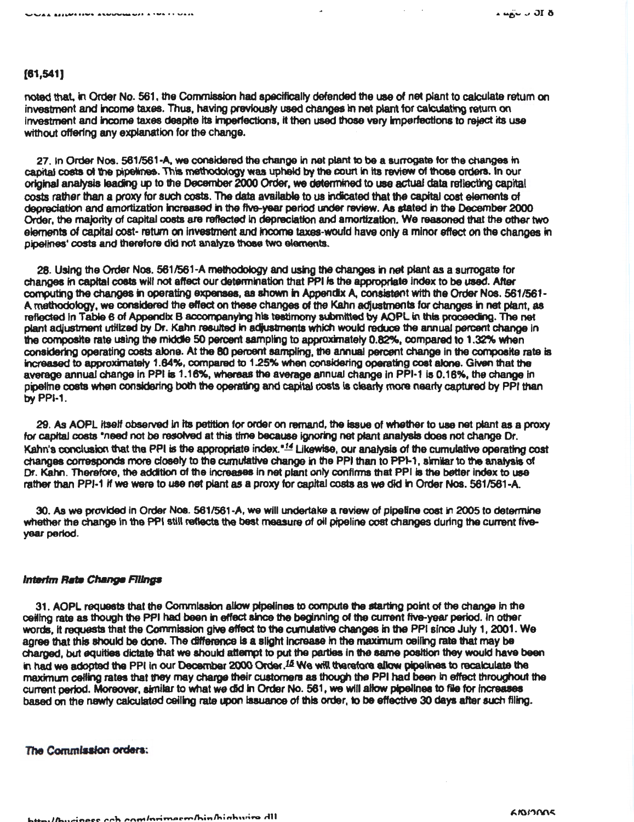# $[61,541]$

noted that, in Order No. 561, the Commission had specifically defended the use of net plant to calculate return on investment and income taxes. Thus, having previously used changes in net plant for calculating return on investment and income taxes despite its imperfections, it then used those very imperfections to reject its use without offering any explanation for the change.

27. In Order Nos. 561/561-A, we considered the change in net plant to be a surrogate for the changes in capital costs of the pipelines. This methodology was upheld by the court in its review of those orders. In our original analysis leading up to the December 2000 Order, we determined to use actual data reflecting capital costs rather than a proxy for such costs. The data available to us indicated that the capital cost elements of depreciation and amortization increased in the five-year period under review. As stated in the December 2000 Order, the majority of capital costs are reflected in depreciation and amortization. We reasoned that the other two elements of capital cost-return on investment and income taxes-would have only a minor effect on the changes in pipelines' costs and therefore did not analyze those two elements.

28. Using the Order Nos. 561/561-A methodology and using the changes in net plant as a surrogate for changes in capital costs will not affect our determination that PPI is the appropriate index to be used. After computing the changes in operating expenses, as shown in Appendix A, consistent with the Order Nos. 561/561-A methodology, we considered the effect on these changes of the Kahn adjustments for changes in net plant, as reflected in Table 6 of Appendix B accompanying his testimony submitted by AOPL in this proceeding. The net plant adjustment utilized by Dr. Kahn resulted in adjustments which would reduce the annual percent change in the composite rate using the middle 50 percent sampling to approximately 0.82%, compared to 1.32% when considering operating costs alone. At the 80 percent sampling, the annual percent change in the composite rate is increased to approximately 1.64%, compared to 1.25% when considering operating cost alone. Given that the average annual change in PPI is 1.16%, whereas the average annual change in PPI-1 is 0.16%, the change in pipeline costs when considering both the operating and capital costs is clearly more nearly captured by PPI than by PPI-1.

29. As AOPL itself observed in its petition for order on remand, the issue of whether to use net plant as a proxy for capital costs "need not be resolved at this time because ignoring net plant analysis does not change Dr. Kahn's conclusion that the PPI is the appropriate index."<sup>14</sup> Likewise, our analysis of the cumulative operating cost changes corresponds more closely to the cumulative change in the PPI than to PPI-1, similar to the analysis of Dr. Kahn. Therefore, the addition of the increases in net plant only confirms that PPI is the better index to use rather than PPI-1 if we were to use net plant as a proxy for capital costs as we did in Order Nos. 561/561-A.

30. As we provided in Order Nos. 561/561-A, we will undertake a review of pipeline cost in 2005 to determine whether the change in the PPI still reflects the best measure of oil pipeline cost changes during the current fiveyear period.

# Interim Rate Change Filings

31. AOPL requests that the Commission allow pipelines to compute the starting point of the change in the ceiling rate as though the PPI had been in effect since the beginning of the current five-year period. In other words, it requests that the Commission give effect to the curriclative changes in the PPI since July 1, 2001. We agree that this should be done. The difference is a slight increase in the maximum ceiling rate that may be charged, but equities dictate that we should attempt to put the parties in the same position they would have been in had we adopted the PPI in our December 2000 Order.<sup>15</sup> We will therefore allow pipelines to recalculate the maximum celling rates that they may charge their customers as though the PPI had been in effect throughout the current period. Moreover, similar to what we did in Order No. 561, we will allow pipelines to file for increases based on the newly calculated ceiling rate upon issuance of this order, to be effective 30 days after such filing.

The Commission orders: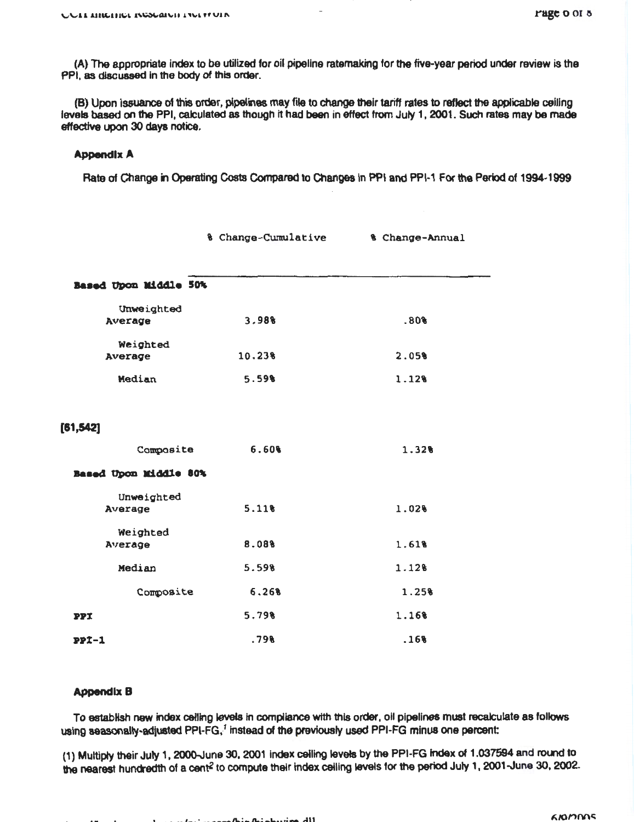(A) The appropriate Index to be utilized for oil pipeline ratemaking for the five-year period under review is the PPI, as discussed in the body of this order.

(B) Upon Issuance of this order, pipelines may file to change their tariff rates to reflect the applicable calling levels based on the PPI, calculated as though it had been in effect from July 1, 2001. Such rates may be made effective upon 30 days notice.

# Appendix A

Rate of Change in Operating Costs Compared to Changes in PPI and PPI-1 For the Period of 1994-1999

|                       | % Change-Cumulative | % Change-Annual |
|-----------------------|---------------------|-----------------|
|                       |                     |                 |
| Based Upon Middle 50% |                     |                 |
| Unweighted            |                     |                 |
| Average               | 3.98%               | .80%            |
| Weighted              |                     |                 |
| Average               | 10.238              | 2.05%           |
| Median                | 5.59%               | 1.12%           |
| [61, 542]             |                     |                 |
| Composite             | 6.60%               | 1.32%           |
| Based Upon Middle 80% |                     |                 |
| Unweighted            |                     |                 |
| Average               | 5.11%               | 1.02%           |
| Weighted              |                     |                 |
| Average               | 8.08%               | 1.61%           |
| Median                | 5.59%               | 1.12%           |
| Composite             | 6.26%               | 1.25%           |
| PPI                   | 5.79%               | 1.16%           |
| $PPI-1$               | .79%                | .16%            |

# Appendix B

To establish new index ceftlng levels In compliance with this order, oil pipelines must recak:ulate as follows using seasonally-adjusted PPI-FG,<sup>1</sup> instead of the previously used PPI-FG minus one percent:

(1) Multiply their July 1, 2000-June 30, 2001 index ceiling levels by the PPI-FG index of 1.037594 and round to the nearest hundredth of a cent<sup>2</sup> to compute their index ceiling levels for the period July 1, 2001-June 30, 2002.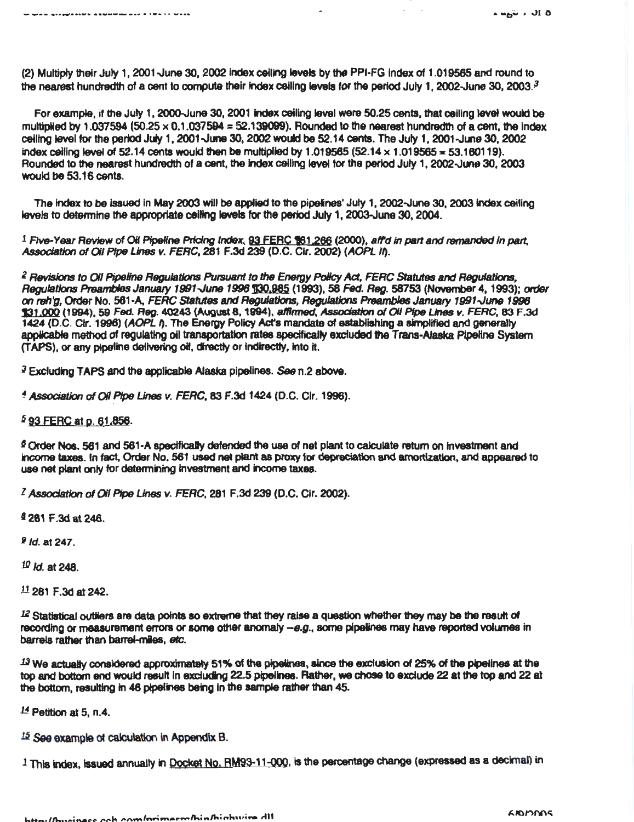(2) Multiply their July 1, 2001.June 30, 2002 index ceiling levels by the PPI-FG Index of 1.019565 and round to the nearest hundredth of a cent to compute their index ceiling levels for the period July 1, 2002-June 30, 2003.<sup>3</sup>

For example, if the July 1, 2000-June 30, 2001 index ceiling level were 50.25 cents, that ceiling level would be multiplied by 1.037594 (50.25  $\times$  0.1.037594 = 52.139099). Rounded to the nearest hundredth of a cent, the index ceiling level for the period July 1, 2001 -June 30, 2002 would be 52.14 cents. The July 1, 2001 -June 30, 2002 index ceiling level of 52.14 cents would then be multiplied by  $1.019565$  (52.14  $\times$  1.019565 = 53.160119). Rounded to the nearest hundredth of a cent, the index ceiling level for the period July 1, 2002-June 30, 2003. would be 53.16 cents.

The index to be issued In May 2003 will be applied to the pipeines' July 1, 2002-June 30, 2003 Index ceiling levels to determine the appropriate ceiling levels for the period July 1, 2003-June 30, 2004.

1 *Five-*Year RevieW of Oil Pfpellne Pricing Index, 93 EEBC 161.266 (2000), Bird In *part* and *remanded* In *part.*  Association of *Oil Pipe Lines v. FERC*, 281 F.3d 239 (D.C. Cir. 2002) (AOPL If).

Z *RBvisions to* Oil *Pipeline* Regulations PuiSUIJtft *to* the *Energy Polley* Act, FERC *Statut9S and* Regulations, Regulations Preambles January 1991-June 1996 130,985 (1993), 58 Fed. Reg. 58753 (November 4, 1993); order on reh'g, Order No. 561-A. FERC Statutes and Regulations, Regulations Preambles January 1991-June 1996 131.000 (1994), 59 Fed. Reg. 40243 (August 8, 1994), affirmed, Association of Oil Pipe Lines v. FERC, 83 F.3d 1424 (D.C. Cir. 1996) (AOPL f). The Energy Policy Act's mandate of establishing a simplified and generally appicabfe method of regulating oil transportation rates speciflcalty excluded the Trans-Alaska Pipeline System (TAPS), or any pipeline delivering oil, directly or indirectly, into it.

<sup>3</sup> Excluding TAPS and the applicable Alaska pipelines. *See* n.2 above.

<sup>~</sup>*AssocJBtJon of* 011 Pfp8 Lines *v.* FERC, 83 F.3d 1424 (D.C. Cir. 1996).

<sup>\$</sup>93 FERC at p. 61,856.

.<br>The stage along the moment of the LI Aves

§ Order Nos. 561 and 561-A spectficaDy defended the use of net plant to calculate retum on investment and income taxes. In tact, Order No. 561 used net plant as proxy for depreciation and amortization, and appeared to use net plant only tor detennining investment and income taxes.

l *.AssociBtion* of 011 *Pipe* Lines *v.* FERC, 281 F.3d 239 (D.C. Clr. 2002).

I 281 F.3d at 246.

<sup>2</sup> id. at 247.

 $10$  *ld.* at 248.

 $11$  281 F.3d at 242.

12 Statistical outliers are data points so extreme that they raise a question whether they may be the result of recording or measurement errors or some other anomaly  $-e.g.,$  some pipelines may have reported volumes in barrels rather than barret-miles, etc.

 $13$  We actually considered approximately 51% of the pipelines, since the exclusion of 25% of the pipelines at the top and bottam end would result in excluding 22.5 pipelines. Rather, we chose to exclude 22 at the top and 22 at the bottom, resulting in 46 pipelines being in the sample rather than 45.

 $14$  Petition at 5, n.4.

 $15$  See example of calculation in Appendix B.

 $1$  This index, issued annually in **Docket No. RM93-11-000**, is the percentage change (expressed as a decimal) in

 $4.464 \div 100$ 

 $\mathcal{L}^{\text{max}}$  and  $\mathcal{L}^{\text{max}}$